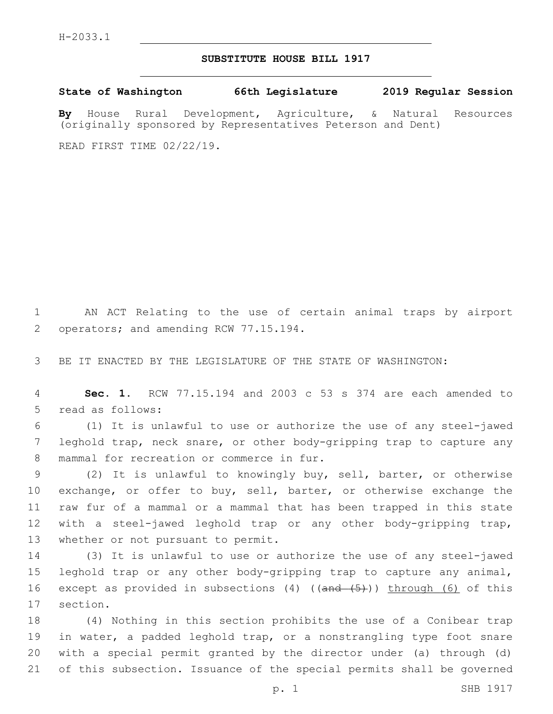## **SUBSTITUTE HOUSE BILL 1917**

**State of Washington 66th Legislature 2019 Regular Session**

**By** House Rural Development, Agriculture, & Natural Resources (originally sponsored by Representatives Peterson and Dent)

READ FIRST TIME 02/22/19.

1 AN ACT Relating to the use of certain animal traps by airport 2 operators; and amending RCW 77.15.194.

3 BE IT ENACTED BY THE LEGISLATURE OF THE STATE OF WASHINGTON:

4 **Sec. 1.** RCW 77.15.194 and 2003 c 53 s 374 are each amended to 5 read as follows:

6 (1) It is unlawful to use or authorize the use of any steel-jawed 7 leghold trap, neck snare, or other body-gripping trap to capture any 8 mammal for recreation or commerce in fur.

9 (2) It is unlawful to knowingly buy, sell, barter, or otherwise 10 exchange, or offer to buy, sell, barter, or otherwise exchange the 11 raw fur of a mammal or a mammal that has been trapped in this state 12 with a steel-jawed leghold trap or any other body-gripping trap, 13 whether or not pursuant to permit.

14 (3) It is unlawful to use or authorize the use of any steel-jawed 15 leghold trap or any other body-gripping trap to capture any animal, 16 except as provided in subsections (4) ((and (5))) through (6) of this 17 section.

 (4) Nothing in this section prohibits the use of a Conibear trap 19 in water, a padded leghold trap, or a nonstrangling type foot snare with a special permit granted by the director under (a) through (d) of this subsection. Issuance of the special permits shall be governed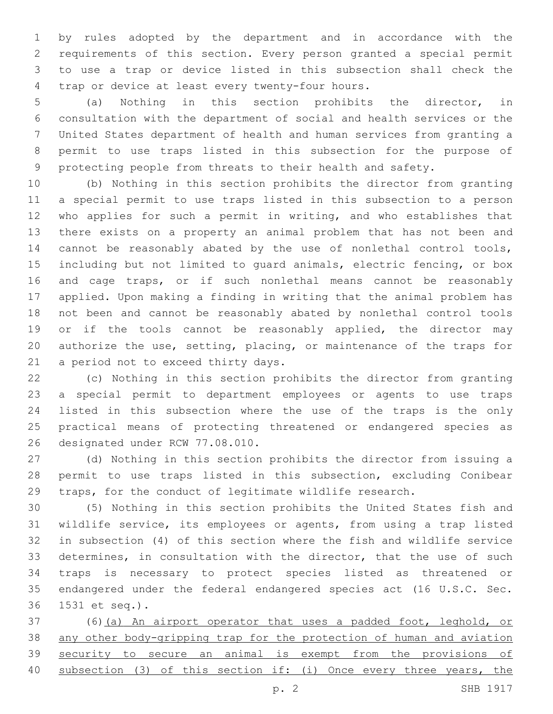by rules adopted by the department and in accordance with the requirements of this section. Every person granted a special permit to use a trap or device listed in this subsection shall check the 4 trap or device at least every twenty-four hours.

 (a) Nothing in this section prohibits the director, in consultation with the department of social and health services or the United States department of health and human services from granting a permit to use traps listed in this subsection for the purpose of protecting people from threats to their health and safety.

 (b) Nothing in this section prohibits the director from granting a special permit to use traps listed in this subsection to a person who applies for such a permit in writing, and who establishes that there exists on a property an animal problem that has not been and cannot be reasonably abated by the use of nonlethal control tools, including but not limited to guard animals, electric fencing, or box and cage traps, or if such nonlethal means cannot be reasonably applied. Upon making a finding in writing that the animal problem has not been and cannot be reasonably abated by nonlethal control tools 19 or if the tools cannot be reasonably applied, the director may authorize the use, setting, placing, or maintenance of the traps for 21 a period not to exceed thirty days.

 (c) Nothing in this section prohibits the director from granting a special permit to department employees or agents to use traps listed in this subsection where the use of the traps is the only practical means of protecting threatened or endangered species as 26 designated under RCW 77.08.010.

 (d) Nothing in this section prohibits the director from issuing a permit to use traps listed in this subsection, excluding Conibear traps, for the conduct of legitimate wildlife research.

 (5) Nothing in this section prohibits the United States fish and wildlife service, its employees or agents, from using a trap listed in subsection (4) of this section where the fish and wildlife service determines, in consultation with the director, that the use of such traps is necessary to protect species listed as threatened or endangered under the federal endangered species act (16 U.S.C. Sec. 1531 et seq.).36

 (6)(a) An airport operator that uses a padded foot, leghold, or any other body-gripping trap for the protection of human and aviation security to secure an animal is exempt from the provisions of subsection (3) of this section if: (i) Once every three years, the